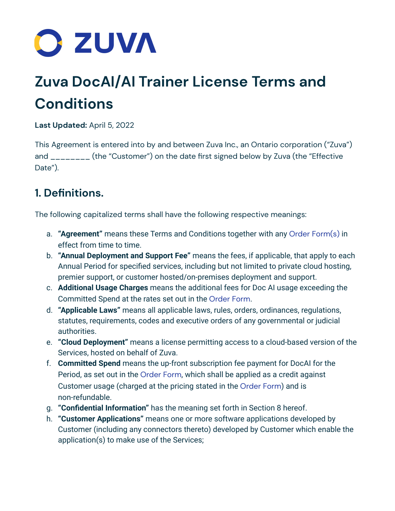

# **Zuva DocAI/AI Trainer License Terms and Conditions**

**Last Updated:** April 5, 2022

This Agreement is entered into by and between Zuva Inc., an Ontario corporation ("Zuva") and \_\_\_\_\_\_\_ (the "Customer") on the date first signed below by Zuva (the "Effective Date").

# **1. Definitions.**

The following capitalized terms shall have the following respective meanings:

- a. **"Agreement"** means these Terms and Conditions together with any Order [Form\(s\)](https://zuva.ai/files/terms/Zuva_Order_Form-April-2022.pdf) in effect from time to time.
- b. **"Annual Deployment and Support Fee"** means the fees, if applicable, that apply to each Annual Period for specified services, including but not limited to private cloud hosting, premier support, or customer hosted/on-premises deployment and support.
- c. **Additional Usage Charges** means the additional fees for Doc AI usage exceeding the Committed Spend at the rates set out in the [Order](https://zuva.ai/files/terms/Zuva_Order_Form-April-2022.pdf) Form.
- d. **"Applicable Laws"** means all applicable laws, rules, orders, ordinances, regulations, statutes, requirements, codes and executive orders of any governmental or judicial authorities.
- e. **"Cloud Deployment"** means a license permitting access to a cloud-based version of the Services, hosted on behalf of Zuva.
- f. **Committed Spend** means the up-front subscription fee payment for DocAI for the Period, as set out in the [Order](https://zuva.ai/files/terms/Zuva_Order_Form-April-2022.pdf) Form, which shall be applied as a credit against Customer usage (charged at the pricing stated in the [Order](https://zuva.ai/files/terms/Zuva_Order_Form-April-2022.pdf) Form) and is non-refundable.
- g. **"Confidential Information"** has the meaning set forth in Section 8 hereof.
- h. **"Customer Applications"** means one or more software applications developed by Customer (including any connectors thereto) developed by Customer which enable the application(s) to make use of the Services;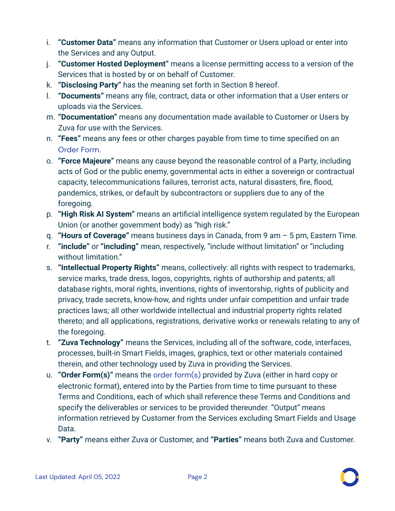- i. **"Customer Data"** means any information that Customer or Users upload or enter into the Services and any Output.
- j. **"Customer Hosted Deployment"** means a license permitting access to a version of the Services that is hosted by or on behalf of Customer.
- k. **"Disclosing Party"** has the meaning set forth in Section 8 hereof.
- l. **"Documents"** means any file, contract, data or other information that a User enters or uploads via the Services.
- m. **"Documentation"** means any documentation made available to Customer or Users by Zuva for use with the Services.
- n. **"Fees"** means any fees or other charges payable from time to time specified on an [Order](https://zuva.ai/files/terms/Zuva_Order_Form-April-2022.pdf) Form.
- o. **"Force Majeure"** means any cause beyond the reasonable control of a Party, including acts of God or the public enemy, governmental acts in either a sovereign or contractual capacity, telecommunications failures, terrorist acts, natural disasters, fire, flood, pandemics, strikes, or default by subcontractors or suppliers due to any of the foregoing.
- p. **"High Risk AI System"** means an artificial intelligence system regulated by the European Union (or another government body) as "high risk."
- q. **"Hours of Coverage"** means business days in Canada, from 9 am 5 pm, Eastern Time.
- r. **"include"** or **"including"** mean, respectively, "include without limitation" or "including without limitation."
- s. **"Intellectual Property Rights"** means, collectively: all rights with respect to trademarks, service marks, trade dress, logos, copyrights, rights of authorship and patents; all database rights, moral rights, inventions, rights of inventorship, rights of publicity and privacy, trade secrets, know-how, and rights under unfair competition and unfair trade practices laws; all other worldwide intellectual and industrial property rights related thereto; and all applications, registrations, derivative works or renewals relating to any of the foregoing.
- t. **"Zuva Technology"** means the Services, including all of the software, code, interfaces, processes, built-in Smart Fields, images, graphics, text or other materials contained therein, and other technology used by Zuva in providing the Services.
- u. **"Order Form(s)"** means the order [form\(s\)](https://zuva.ai/files/terms/Zuva_Order_Form-April-2022.pdf) provided by Zuva (either in hard copy or electronic format), entered into by the Parties from time to time pursuant to these Terms and Conditions, each of which shall reference these Terms and Conditions and specify the deliverables or services to be provided thereunder. "Output" means information retrieved by Customer from the Services excluding Smart Fields and Usage Data.
- v. **"Party"** means either Zuva or Customer, and **"Parties"** means both Zuva and Customer.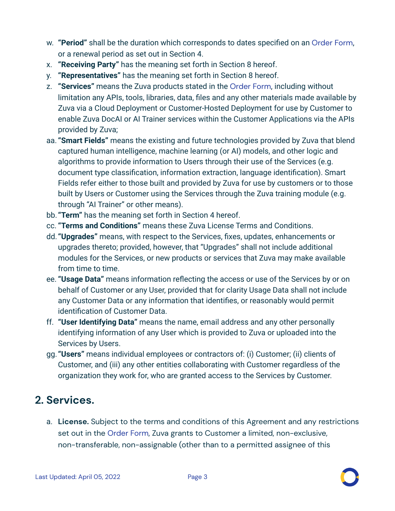- w. **"Period"** shall be the duration which corresponds to dates specified on an [Order](https://zuva.ai/files/terms/Zuva_Order_Form-April-2022.pdf) Form, or a renewal period as set out in Section 4.
- x. **"Receiving Party"** has the meaning set forth in Section 8 hereof.
- y. **"Representatives"** has the meaning set forth in Section 8 hereof.
- z. **"Services"** means the Zuva products stated in the [Order](https://zuva.ai/files/terms/Zuva_Order_Form-April-2022.pdf) Form, including without limitation any APIs, tools, libraries, data, files and any other materials made available by Zuva via a Cloud Deployment or Customer-Hosted Deployment for use by Customer to enable Zuva DocAI or AI Trainer services within the Customer Applications via the APIs provided by Zuva;
- aa. **"Smart Fields"** means the existing and future technologies provided by Zuva that blend captured human intelligence, machine learning (or AI) models, and other logic and algorithms to provide information to Users through their use of the Services (e.g. document type classification, information extraction, language identification). Smart Fields refer either to those built and provided by Zuva for use by customers or to those built by Users or Customer using the Services through the Zuva training module (e.g. through "AI Trainer" or other means).
- bb. **"Term"** has the meaning set forth in Section 4 hereof.
- cc. **"Terms and Conditions"** means these Zuva License Terms and Conditions.
- dd. **"Upgrades"** means, with respect to the Services, fixes, updates, enhancements or upgrades thereto; provided, however, that "Upgrades" shall not include additional modules for the Services, or new products or services that Zuva may make available from time to time.
- ee. **"Usage Data"** means information reflecting the access or use of the Services by or on behalf of Customer or any User, provided that for clarity Usage Data shall not include any Customer Data or any information that identifies, or reasonably would permit identification of Customer Data.
- ff. **"User Identifying Data"** means the name, email address and any other personally identifying information of any User which is provided to Zuva or uploaded into the Services by Users.
- gg. **"Users"** means individual employees or contractors of: (i) Customer; (ii) clients of Customer, and (iii) any other entities collaborating with Customer regardless of the organization they work for, who are granted access to the Services by Customer.

#### **2. Services.**

a. **License.** Subject to the terms and conditions of this Agreement and any restrictions set out in the [Order](https://zuva.ai/files/terms/Zuva_Order_Form-April-2022.pdf) Form, Zuva grants to Customer a limited, non-exclusive, non-transferable, non-assignable (other than to a permitted assignee of this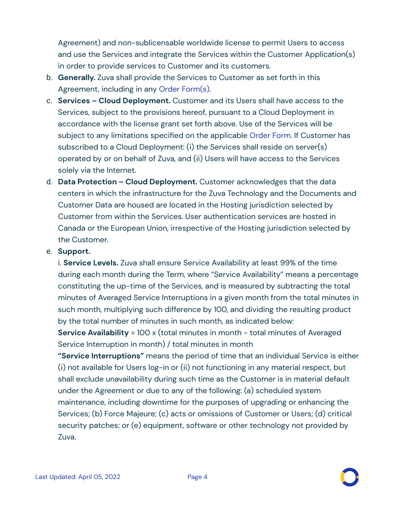Agreement) and non-sublicensable worldwide license to permit Users to access and use the Services and integrate the Services within the Customer Application(s) in order to provide services to Customer and its customers.

- b. **Generally.** Zuva shall provide the Services to Customer as set forth in this Agreement, including in any Order [Form\(s\).](https://zuva.ai/files/terms/Zuva_Order_Form-April-2022.pdf)
- c. **Services – Cloud Deployment.** Customer and its Users shall have access to the Services, subject to the provisions hereof, pursuant to a Cloud Deployment in accordance with the license grant set forth above. Use of the Services will be subject to any limitations specified on the applicable [Order](https://zuva.ai/files/terms/Zuva_Order_Form-April-2022.pdf) Form. If Customer has subscribed to a Cloud Deployment: (i) the Services shall reside on server(s) operated by or on behalf of Zuva, and (ii) Users will have access to the Services solely via the Internet.
- d. **Data Protection – Cloud Deployment.** Customer acknowledges that the data centers in which the infrastructure for the Zuva Technology and the Documents and Customer Data are housed are located in the Hosting jurisdiction selected by Customer from within the Services. User authentication services are hosted in Canada or the European Union, irrespective of the Hosting jurisdiction selected by the Customer.

#### e. **Support.**

i. **Service Levels.** Zuva shall ensure Service Availability at least 99% of the time during each month during the Term, where "Service Availability" means a percentage constituting the up-time of the Services, and is measured by subtracting the total minutes of Averaged Service Interruptions in a given month from the total minutes in such month, multiplying such difference by 100, and dividing the resulting product by the total number of minutes in such month, as indicated below:

**Service Availability** = 100 x (total minutes in month - total minutes of Averaged Service Interruption in month) / total minutes in month

**"Service Interruptions"** means the period of time that an individual Service is either (i) not available for Users log-in or (ii) not functioning in any material respect, but shall exclude unavailability during such time as the Customer is in material default under the Agreement or due to any of the following: (a) scheduled system maintenance, including downtime for the purposes of upgrading or enhancing the Services; (b) Force Majeure; (c) acts or omissions of Customer or Users; (d) critical security patches; or (e) equipment, software or other technology not provided by Zuva.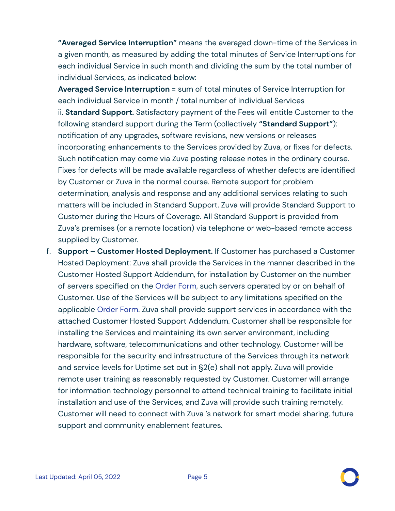**"Averaged Service Interruption"** means the averaged down-time of the Services in a given month, as measured by adding the total minutes of Service Interruptions for each individual Service in such month and dividing the sum by the total number of individual Services, as indicated below:

**Averaged Service Interruption** = sum of total minutes of Service Interruption for each individual Service in month / total number of individual Services ii. **Standard Support.** Satisfactory payment of the Fees will entitle Customer to the following standard support during the Term (collectively **"Standard Support"**): notification of any upgrades, software revisions, new versions or releases incorporating enhancements to the Services provided by Zuva, or fixes for defects. Such notification may come via Zuva posting release notes in the ordinary course. Fixes for defects will be made available regardless of whether defects are identified by Customer or Zuva in the normal course. Remote support for problem determination, analysis and response and any additional services relating to such matters will be included in Standard Support. Zuva will provide Standard Support to Customer during the Hours of Coverage. All Standard Support is provided from Zuva's premises (or a remote location) via telephone or web-based remote access supplied by Customer.

f. **Support – Customer Hosted Deployment.** If Customer has purchased a Customer Hosted Deployment: Zuva shall provide the Services in the manner described in the Customer Hosted Support Addendum, for installation by Customer on the number of servers specified on the [Order](https://zuva.ai/files/terms/Zuva_Order_Form-April-2022.pdf) Form, such servers operated by or on behalf of Customer. Use of the Services will be subject to any limitations specified on the applicable [Order](https://zuva.ai/files/terms/Zuva_Order_Form-April-2022.pdf) Form. Zuva shall provide support services in accordance with the attached Customer Hosted Support Addendum. Customer shall be responsible for installing the Services and maintaining its own server environment, including hardware, software, telecommunications and other technology. Customer will be responsible for the security and infrastructure of the Services through its network and service levels for Uptime set out in §2(e) shall not apply. Zuva will provide remote user training as reasonably requested by Customer. Customer will arrange for information technology personnel to attend technical training to facilitate initial installation and use of the Services, and Zuva will provide such training remotely. Customer will need to connect with Zuva 's network for smart model sharing, future support and community enablement features.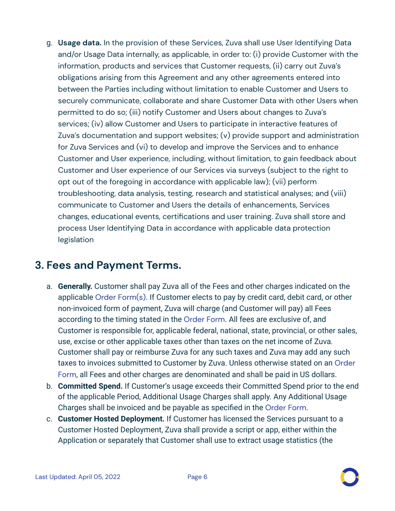g. **Usage data.** In the provision of these Services, Zuva shall use User Identifying Data and/or Usage Data internally, as applicable, in order to: (i) provide Customer with the information, products and services that Customer requests, (ii) carry out Zuva's obligations arising from this Agreement and any other agreements entered into between the Parties including without limitation to enable Customer and Users to securely communicate, collaborate and share Customer Data with other Users when permitted to do so; (iii) notify Customer and Users about changes to Zuva's services; (iv) allow Customer and Users to participate in interactive features of Zuva's documentation and support websites; (v) provide support and administration for Zuva Services and (vi) to develop and improve the Services and to enhance Customer and User experience, including, without limitation, to gain feedback about Customer and User experience of our Services via surveys (subject to the right to opt out of the foregoing in accordance with applicable law); (vii) perform troubleshooting, data analysis, testing, research and statistical analyses; and (viii) communicate to Customer and Users the details of enhancements, Services changes, educational events, certifications and user training. Zuva shall store and process User Identifying Data in accordance with applicable data protection legislation

#### **3. Fees and Payment Terms.**

- a. **Generally.** Customer shall pay Zuva all of the Fees and other charges indicated on the applicable Order [Form\(s\)](https://zuva.ai/files/terms/Zuva_Order_Form-April-2022.pdf). If Customer elects to pay by credit card, debit card, or other non-invoiced form of payment, Zuva will charge (and Customer will pay) all Fees according to the timing stated in the [Order](https://zuva.ai/files/terms/Zuva_Order_Form-April-2022.pdf) Form. All fees are exclusive of, and Customer is responsible for, applicable federal, national, state, provincial, or other sales, use, excise or other applicable taxes other than taxes on the net income of Zuva. Customer shall pay or reimburse Zuva for any such taxes and Zuva may add any such taxes to invoices submitted to Customer by Zuva. Unless otherwise stated on an [Order](https://zuva.ai/files/terms/Zuva_Order_Form-April-2022.pdf) [Form](https://zuva.ai/files/terms/Zuva_Order_Form-April-2022.pdf), all Fees and other charges are denominated and shall be paid in US dollars.
- b. **Committed Spend.** If Customer's usage exceeds their Committed Spend prior to the end of the applicable Period, Additional Usage Charges shall apply. Any Additional Usage Charges shall be invoiced and be payable as specified in the [Order](https://zuva.ai/files/terms/Zuva_Order_Form-April-2022.pdf) Form.
- c. **Customer Hosted Deployment.** If Customer has licensed the Services pursuant to a Customer Hosted Deployment, Zuva shall provide a script or app, either within the Application or separately that Customer shall use to extract usage statistics (the

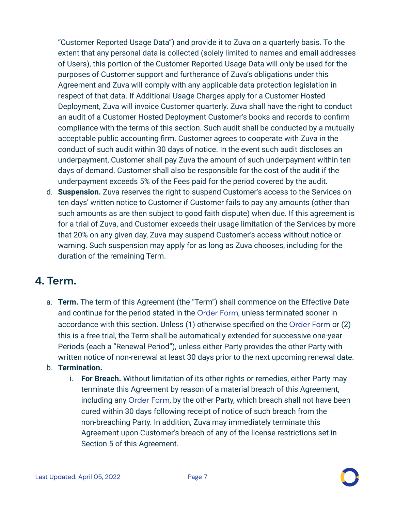"Customer Reported Usage Data") and provide it to Zuva on a quarterly basis. To the extent that any personal data is collected (solely limited to names and email addresses of Users), this portion of the Customer Reported Usage Data will only be used for the purposes of Customer support and furtherance of Zuva's obligations under this Agreement and Zuva will comply with any applicable data protection legislation in respect of that data. If Additional Usage Charges apply for a Customer Hosted Deployment, Zuva will invoice Customer quarterly. Zuva shall have the right to conduct an audit of a Customer Hosted Deployment Customer's books and records to confirm compliance with the terms of this section. Such audit shall be conducted by a mutually acceptable public accounting firm. Customer agrees to cooperate with Zuva in the conduct of such audit within 30 days of notice. In the event such audit discloses an underpayment, Customer shall pay Zuva the amount of such underpayment within ten days of demand. Customer shall also be responsible for the cost of the audit if the underpayment exceeds 5% of the Fees paid for the period covered by the audit.

d. **Suspension.** Zuva reserves the right to suspend Customer's access to the Services on ten days' written notice to Customer if Customer fails to pay any amounts (other than such amounts as are then subject to good faith dispute) when due. If this agreement is for a trial of Zuva, and Customer exceeds their usage limitation of the Services by more that 20% on any given day, Zuva may suspend Customer's access without notice or warning. Such suspension may apply for as long as Zuva chooses, including for the duration of the remaining Term.

#### **4. Term.**

a. **Term.** The term of this Agreement (the "Term") shall commence on the Effective Date and continue for the period stated in the [Order](https://zuva.ai/files/terms/Zuva_Order_Form-April-2022.pdf) Form, unless terminated sooner in accordance with this section. Unless (1) otherwise specified on the [Order](https://zuva.ai/files/terms/Zuva_Order_Form-April-2022.pdf) Form or (2) this is a free trial, the Term shall be automatically extended for successive one-year Periods (each a "Renewal Period"), unless either Party provides the other Party with written notice of non-renewal at least 30 days prior to the next upcoming renewal date.

#### b. **Termination.**

i. **For Breach.** Without limitation of its other rights or remedies, either Party may terminate this Agreement by reason of a material breach of this Agreement, including any [Order](https://zuva.ai/files/terms/Zuva_Order_Form-April-2022.pdf) Form, by the other Party, which breach shall not have been cured within 30 days following receipt of notice of such breach from the non-breaching Party. In addition, Zuva may immediately terminate this Agreement upon Customer's breach of any of the license restrictions set in Section 5 of this Agreement.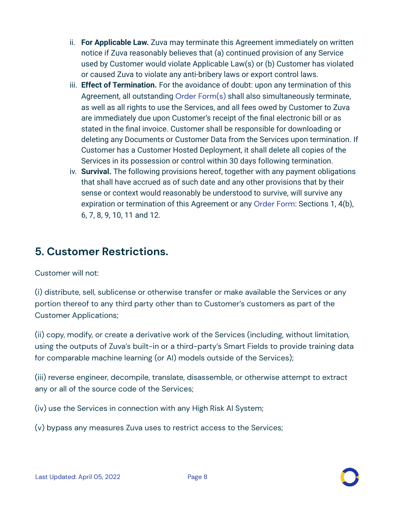- ii. **For Applicable Law.** Zuva may terminate this Agreement immediately on written notice if Zuva reasonably believes that (a) continued provision of any Service used by Customer would violate Applicable Law(s) or (b) Customer has violated or caused Zuva to violate any anti-bribery laws or export control laws.
- iii. **Effect of Termination.** For the avoidance of doubt: upon any termination of this Agreement, all outstanding Order [Form\(s\)](https://zuva.ai/files/terms/Zuva_Order_Form-April-2022.pdf) shall also simultaneously terminate, as well as all rights to use the Services, and all fees owed by Customer to Zuva are immediately due upon Customer's receipt of the final electronic bill or as stated in the final invoice. Customer shall be responsible for downloading or deleting any Documents or Customer Data from the Services upon termination. If Customer has a Customer Hosted Deployment, it shall delete all copies of the Services in its possession or control within 30 days following termination.
- iv. **Survival.** The following provisions hereof, together with any payment obligations that shall have accrued as of such date and any other provisions that by their sense or context would reasonably be understood to survive, will survive any expiration or termination of this Agreement or any [Order](https://zuva.ai/files/terms/Zuva_Order_Form-April-2022.pdf) Form: Sections 1, 4(b), 6, 7, 8, 9, 10, 11 and 12.

# **5. Customer Restrictions.**

Customer will not:

(i) distribute, sell, sublicense or otherwise transfer or make available the Services or any portion thereof to any third party other than to Customer's customers as part of the Customer Applications;

(ii) copy, modify, or create a derivative work of the Services (including, without limitation, using the outputs of Zuva's built-in or a third-party's Smart Fields to provide training data for comparable machine learning (or AI) models outside of the Services);

(iii) reverse engineer, decompile, translate, disassemble, or otherwise attempt to extract any or all of the source code of the Services;

(iv) use the Services in connection with any High Risk AI System;

(v) bypass any measures Zuva uses to restrict access to the Services;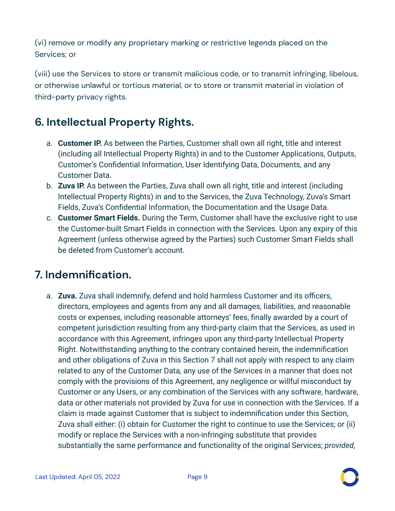(vi) remove or modify any proprietary marking or restrictive legends placed on the Services; or

(viii) use the Services to store or transmit malicious code, or to transmit infringing, libelous, or otherwise unlawful or tortious material, or to store or transmit material in violation of third-party privacy rights.

# **6. Intellectual Property Rights.**

- a. **Customer IP.** As between the Parties, Customer shall own all right, title and interest (including all Intellectual Property Rights) in and to the Customer Applications, Outputs, Customer's Confidential Information, User Identifying Data, Documents, and any Customer Data.
- b. **Zuva IP.** As between the Parties, Zuva shall own all right, title and interest (including Intellectual Property Rights) in and to the Services, the Zuva Technology, Zuva's Smart Fields, Zuva's Confidential Information, the Documentation and the Usage Data.
- c. **Customer Smart Fields.** During the Term, Customer shall have the exclusive right to use the Customer-built Smart Fields in connection with the Services. Upon any expiry of this Agreement (unless otherwise agreed by the Parties) such Customer Smart Fields shall be deleted from Customer's account.

# **7. Indemnification.**

a. **Zuva.** Zuva shall indemnify, defend and hold harmless Customer and its officers, directors, employees and agents from any and all damages, liabilities, and reasonable costs or expenses, including reasonable attorneys' fees, finally awarded by a court of competent jurisdiction resulting from any third-party claim that the Services, as used in accordance with this Agreement, infringes upon any third-party Intellectual Property Right. Notwithstanding anything to the contrary contained herein, the indemnification and other obligations of Zuva in this Section 7 shall not apply with respect to any claim related to any of the Customer Data, any use of the Services in a manner that does not comply with the provisions of this Agreement, any negligence or willful misconduct by Customer or any Users, or any combination of the Services with any software, hardware, data or other materials not provided by Zuva for use in connection with the Services. If a claim is made against Customer that is subject to indemnification under this Section, Zuva shall either: (i) obtain for Customer the right to continue to use the Services; or (ii) modify or replace the Services with a non-infringing substitute that provides substantially the same performance and functionality of the original Services; *provided,*

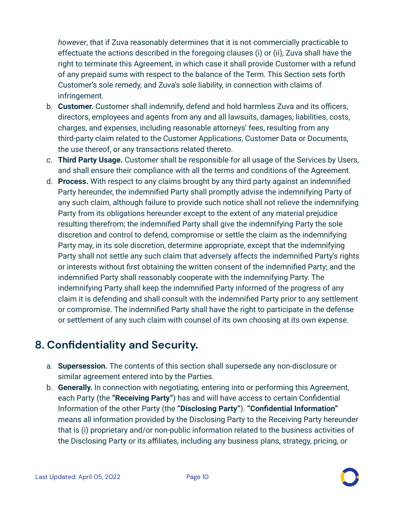*however*, that if Zuva reasonably determines that it is not commercially practicable to effectuate the actions described in the foregoing clauses (i) or (ii), Zuva shall have the right to terminate this Agreement, in which case it shall provide Customer with a refund of any prepaid sums with respect to the balance of the Term. This Section sets forth Customer's sole remedy, and Zuva's sole liability, in connection with claims of infringement.

- b. **Customer.** Customer shall indemnify, defend and hold harmless Zuva and its officers, directors, employees and agents from any and all lawsuits, damages, liabilities, costs, charges, and expenses, including reasonable attorneys' fees, resulting from any third-party claim related to the Customer Applications, Customer Data or Documents, the use thereof, or any transactions related thereto.
- c. **Third Party Usage.** Customer shall be responsible for all usage of the Services by Users, and shall ensure their compliance with all the terms and conditions of the Agreement.
- d. **Process.** With respect to any claims brought by any third party against an indemnified Party hereunder, the indemnified Party shall promptly advise the indemnifying Party of any such claim, although failure to provide such notice shall not relieve the indemnifying Party from its obligations hereunder except to the extent of any material prejudice resulting therefrom; the indemnified Party shall give the indemnifying Party the sole discretion and control to defend, compromise or settle the claim as the indemnifying Party may, in its sole discretion, determine appropriate, except that the indemnifying Party shall not settle any such claim that adversely affects the indemnified Party's rights or interests without first obtaining the written consent of the indemnified Party; and the indemnified Party shall reasonably cooperate with the indemnifying Party. The indemnifying Party shall keep the indemnified Party informed of the progress of any claim it is defending and shall consult with the indemnified Party prior to any settlement or compromise. The indemnified Party shall have the right to participate in the defense or settlement of any such claim with counsel of its own choosing at its own expense.

# **8. Confidentiality and Security.**

- a. **Supersession.** The contents of this section shall supersede any non-disclosure or similar agreement entered into by the Parties.
- b. **Generally.** In connection with negotiating, entering into or performing this Agreement, each Party (the **"Receiving Party"**) has and will have access to certain Confidential Information of the other Party (the **"Disclosing Party"**). **"Confidential Information"** means all information provided by the Disclosing Party to the Receiving Party hereunder that is (i) proprietary and/or non-public information related to the business activities of the Disclosing Party or its affiliates, including any business plans, strategy, pricing, or

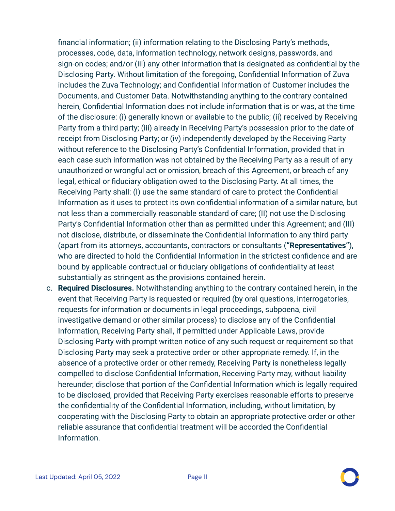financial information; (ii) information relating to the Disclosing Party's methods, processes, code, data, information technology, network designs, passwords, and sign-on codes; and/or (iii) any other information that is designated as confidential by the Disclosing Party. Without limitation of the foregoing, Confidential Information of Zuva includes the Zuva Technology; and Confidential Information of Customer includes the Documents, and Customer Data. Notwithstanding anything to the contrary contained herein, Confidential Information does not include information that is or was, at the time of the disclosure: (i) generally known or available to the public; (ii) received by Receiving Party from a third party; (iii) already in Receiving Party's possession prior to the date of receipt from Disclosing Party; or (iv) independently developed by the Receiving Party without reference to the Disclosing Party's Confidential Information, provided that in each case such information was not obtained by the Receiving Party as a result of any unauthorized or wrongful act or omission, breach of this Agreement, or breach of any legal, ethical or fiduciary obligation owed to the Disclosing Party. At all times, the Receiving Party shall: (I) use the same standard of care to protect the Confidential Information as it uses to protect its own confidential information of a similar nature, but not less than a commercially reasonable standard of care; (II) not use the Disclosing Party's Confidential Information other than as permitted under this Agreement; and (III) not disclose, distribute, or disseminate the Confidential Information to any third party (apart from its attorneys, accountants, contractors or consultants (**"Representatives"**), who are directed to hold the Confidential Information in the strictest confidence and are bound by applicable contractual or fiduciary obligations of confidentiality at least substantially as stringent as the provisions contained herein.

c. **Required Disclosures.** Notwithstanding anything to the contrary contained herein, in the event that Receiving Party is requested or required (by oral questions, interrogatories, requests for information or documents in legal proceedings, subpoena, civil investigative demand or other similar process) to disclose any of the Confidential Information, Receiving Party shall, if permitted under Applicable Laws, provide Disclosing Party with prompt written notice of any such request or requirement so that Disclosing Party may seek a protective order or other appropriate remedy. If, in the absence of a protective order or other remedy, Receiving Party is nonetheless legally compelled to disclose Confidential Information, Receiving Party may, without liability hereunder, disclose that portion of the Confidential Information which is legally required to be disclosed, provided that Receiving Party exercises reasonable efforts to preserve the confidentiality of the Confidential Information, including, without limitation, by cooperating with the Disclosing Party to obtain an appropriate protective order or other reliable assurance that confidential treatment will be accorded the Confidential Information.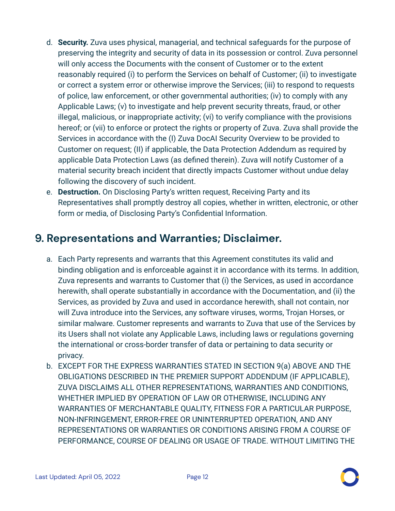- d. **Security.** Zuva uses physical, managerial, and technical safeguards for the purpose of preserving the integrity and security of data in its possession or control. Zuva personnel will only access the Documents with the consent of Customer or to the extent reasonably required (i) to perform the Services on behalf of Customer; (ii) to investigate or correct a system error or otherwise improve the Services; (iii) to respond to requests of police, law enforcement, or other governmental authorities; (iv) to comply with any Applicable Laws; (v) to investigate and help prevent security threats, fraud, or other illegal, malicious, or inappropriate activity; (vi) to verify compliance with the provisions hereof; or (vii) to enforce or protect the rights or property of Zuva. Zuva shall provide the Services in accordance with the (I) Zuva DocAI Security Overview to be provided to Customer on request; (II) if applicable, the Data Protection Addendum as required by applicable Data Protection Laws (as defined therein). Zuva will notify Customer of a material security breach incident that directly impacts Customer without undue delay following the discovery of such incident.
- e. **Destruction.** On Disclosing Party's written request, Receiving Party and its Representatives shall promptly destroy all copies, whether in written, electronic, or other form or media, of Disclosing Party's Confidential Information.

# **9. Representations and Warranties; Disclaimer.**

- a. Each Party represents and warrants that this Agreement constitutes its valid and binding obligation and is enforceable against it in accordance with its terms. In addition, Zuva represents and warrants to Customer that (i) the Services, as used in accordance herewith, shall operate substantially in accordance with the Documentation, and (ii) the Services, as provided by Zuva and used in accordance herewith, shall not contain, nor will Zuva introduce into the Services, any software viruses, worms, Trojan Horses, or similar malware. Customer represents and warrants to Zuva that use of the Services by its Users shall not violate any Applicable Laws, including laws or regulations governing the international or cross-border transfer of data or pertaining to data security or privacy.
- b. EXCEPT FOR THE EXPRESS WARRANTIES STATED IN SECTION 9(a) ABOVE AND THE OBLIGATIONS DESCRIBED IN THE PREMIER SUPPORT ADDENDUM (IF APPLICABLE), ZUVA DISCLAIMS ALL OTHER REPRESENTATIONS, WARRANTIES AND CONDITIONS, WHETHER IMPLIED BY OPERATION OF LAW OR OTHERWISE, INCLUDING ANY WARRANTIES OF MERCHANTABLE QUALITY, FITNESS FOR A PARTICULAR PURPOSE, NON-INFRINGEMENT, ERROR-FREE OR UNINTERRUPTED OPERATION, AND ANY REPRESENTATIONS OR WARRANTIES OR CONDITIONS ARISING FROM A COURSE OF PERFORMANCE, COURSE OF DEALING OR USAGE OF TRADE. WITHOUT LIMITING THE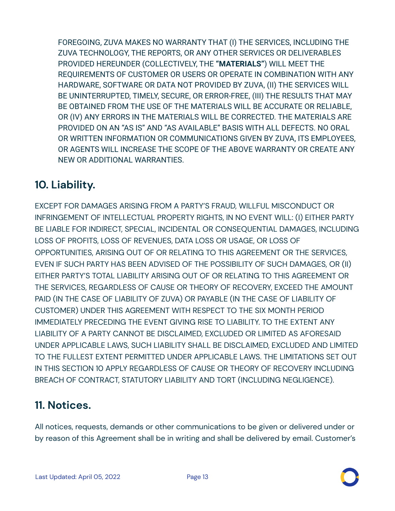FOREGOING, ZUVA MAKES NO WARRANTY THAT (I) THE SERVICES, INCLUDING THE ZUVA TECHNOLOGY, THE REPORTS, OR ANY OTHER SERVICES OR DELIVERABLES PROVIDED HEREUNDER (COLLECTIVELY, THE **"MATERIALS"**) WILL MEET THE REQUIREMENTS OF CUSTOMER OR USERS OR OPERATE IN COMBINATION WITH ANY HARDWARE, SOFTWARE OR DATA NOT PROVIDED BY ZUVA, (II) THE SERVICES WILL BE UNINTERRUPTED, TIMELY, SECURE, OR ERROR-FREE, (III) THE RESULTS THAT MAY BE OBTAINED FROM THE USE OF THE MATERIALS WILL BE ACCURATE OR RELIABLE, OR (IV) ANY ERRORS IN THE MATERIALS WILL BE CORRECTED. THE MATERIALS ARE PROVIDED ON AN "AS IS" AND "AS AVAILABLE" BASIS WITH ALL DEFECTS. NO ORAL OR WRITTEN INFORMATION OR COMMUNICATIONS GIVEN BY ZUVA, ITS EMPLOYEES, OR AGENTS WILL INCREASE THE SCOPE OF THE ABOVE WARRANTY OR CREATE ANY NEW OR ADDITIONAL WARRANTIES.

# **10. Liability.**

EXCEPT FOR DAMAGES ARISING FROM A PARTY'S FRAUD, WILLFUL MISCONDUCT OR INFRINGEMENT OF INTELLECTUAL PROPERTY RIGHTS, IN NO EVENT WILL: (I) EITHER PARTY BE LIABLE FOR INDIRECT, SPECIAL, INCIDENTAL OR CONSEQUENTIAL DAMAGES, INCLUDING LOSS OF PROFITS, LOSS OF REVENUES, DATA LOSS OR USAGE, OR LOSS OF OPPORTUNITIES, ARISING OUT OF OR RELATING TO THIS AGREEMENT OR THE SERVICES, EVEN IF SUCH PARTY HAS BEEN ADVISED OF THE POSSIBILITY OF SUCH DAMAGES, OR (II) EITHER PARTY'S TOTAL LIABILITY ARISING OUT OF OR RELATING TO THIS AGREEMENT OR THE SERVICES, REGARDLESS OF CAUSE OR THEORY OF RECOVERY, EXCEED THE AMOUNT PAID (IN THE CASE OF LIABILITY OF ZUVA) OR PAYABLE (IN THE CASE OF LIABILITY OF CUSTOMER) UNDER THIS AGREEMENT WITH RESPECT TO THE SIX MONTH PERIOD IMMEDIATELY PRECEDING THE EVENT GIVING RISE TO LIABILITY. TO THE EXTENT ANY LIABILITY OF A PARTY CANNOT BE DISCLAIMED, EXCLUDED OR LIMITED AS AFORESAID UNDER APPLICABLE LAWS, SUCH LIABILITY SHALL BE DISCLAIMED, EXCLUDED AND LIMITED TO THE FULLEST EXTENT PERMITTED UNDER APPLICABLE LAWS. THE LIMITATIONS SET OUT IN THIS SECTION 10 APPLY REGARDLESS OF CAUSE OR THEORY OF RECOVERY INCLUDING BREACH OF CONTRACT, STATUTORY LIABILITY AND TORT (INCLUDING NEGLIGENCE).

# **11. Notices.**

All notices, requests, demands or other communications to be given or delivered under or by reason of this Agreement shall be in writing and shall be delivered by email. Customer's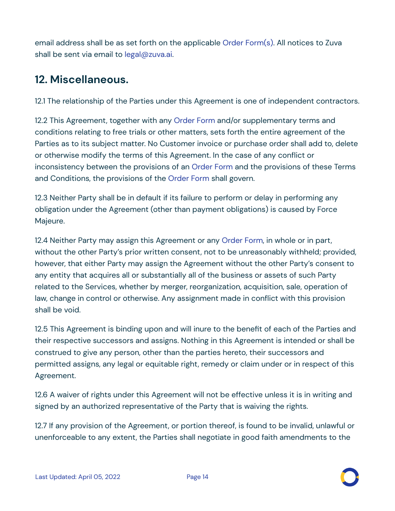email address shall be as set forth on the applicable Order [Form\(s\).](https://zuva.ai/files/terms/Zuva_Order_Form-April-2022.pdf) All notices to Zuva shall be sent via email to legal@zuva.ai.

### **12. Miscellaneous.**

12.1 The relationship of the Parties under this Agreement is one of independent contractors.

12.2 This Agreement, together with any [Order](https://zuva.ai/files/terms/Zuva_Order_Form-April-2022.pdf) Form and/or supplementary terms and conditions relating to free trials or other matters, sets forth the entire agreement of the Parties as to its subject matter. No Customer invoice or purchase order shall add to, delete or otherwise modify the terms of this Agreement. In the case of any conflict or inconsistency between the provisions of an [Order](https://zuva.ai/files/terms/Zuva_Order_Form-April-2022.pdf) Form and the provisions of these Terms and Conditions, the provisions of the [Order](https://zuva.ai/files/terms/Zuva_Order_Form-April-2022.pdf) Form shall govern.

12.3 Neither Party shall be in default if its failure to perform or delay in performing any obligation under the Agreement (other than payment obligations) is caused by Force Majeure.

12.4 Neither Party may assign this Agreement or any [Order](https://zuva.ai/files/terms/Zuva_Order_Form-April-2022.pdf) Form, in whole or in part, without the other Party's prior written consent, not to be unreasonably withheld; provided, however, that either Party may assign the Agreement without the other Party's consent to any entity that acquires all or substantially all of the business or assets of such Party related to the Services, whether by merger, reorganization, acquisition, sale, operation of law, change in control or otherwise. Any assignment made in conflict with this provision shall be void.

12.5 This Agreement is binding upon and will inure to the benefit of each of the Parties and their respective successors and assigns. Nothing in this Agreement is intended or shall be construed to give any person, other than the parties hereto, their successors and permitted assigns, any legal or equitable right, remedy or claim under or in respect of this Agreement.

12.6 A waiver of rights under this Agreement will not be effective unless it is in writing and signed by an authorized representative of the Party that is waiving the rights.

12.7 If any provision of the Agreement, or portion thereof, is found to be invalid, unlawful or unenforceable to any extent, the Parties shall negotiate in good faith amendments to the

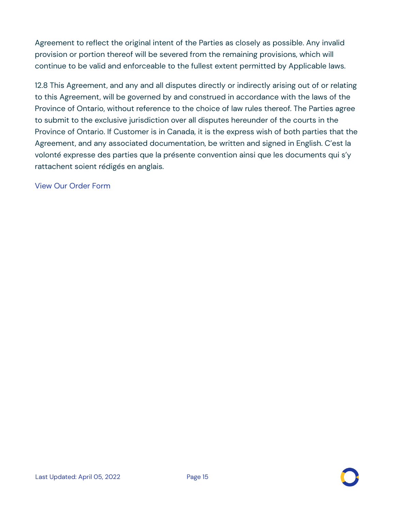Agreement to reflect the original intent of the Parties as closely as possible. Any invalid provision or portion thereof will be severed from the remaining provisions, which will continue to be valid and enforceable to the fullest extent permitted by Applicable laws.

12.8 This Agreement, and any and all disputes directly or indirectly arising out of or relating to this Agreement, will be governed by and construed in accordance with the laws of the Province of Ontario, without reference to the choice of law rules thereof. The Parties agree to submit to the exclusive jurisdiction over all disputes hereunder of the courts in the Province of Ontario. If Customer is in Canada, it is the express wish of both parties that the Agreement, and any associated documentation, be written and signed in English. C'est la volonté expresse des parties que la présente convention ainsi que les documents qui s'y rattachent soient rédigés en anglais.

View Our [Order](https://zuva.ai/files/terms/Zuva_Order_Form-April-2022.pdf) Form